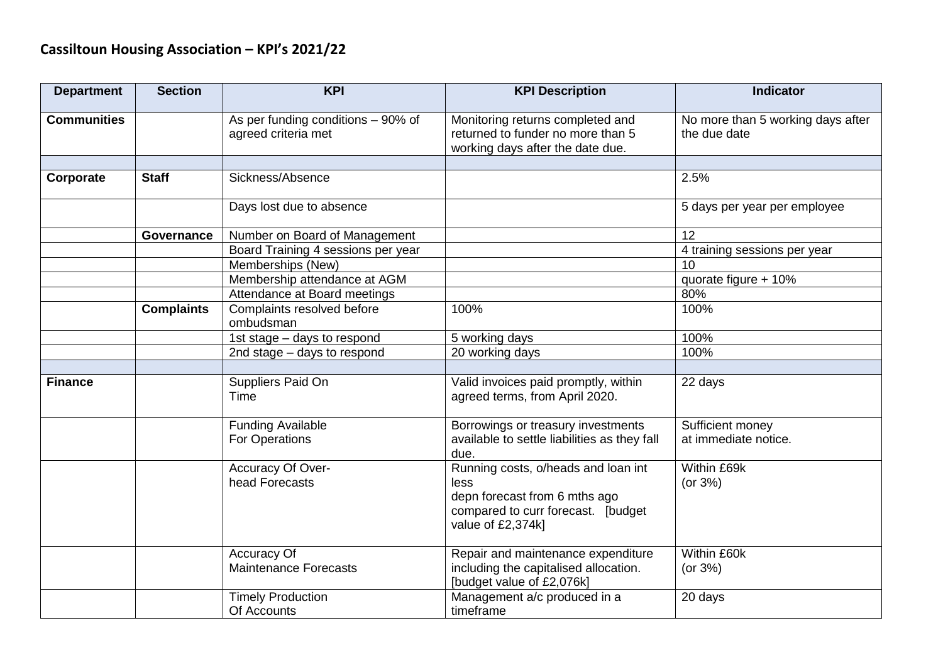| <b>Department</b>  | <b>Section</b>    | <b>KPI</b>                                  | <b>KPI Description</b>                                                                                                                  | <b>Indicator</b>                  |
|--------------------|-------------------|---------------------------------------------|-----------------------------------------------------------------------------------------------------------------------------------------|-----------------------------------|
| <b>Communities</b> |                   | As per funding conditions - 90% of          | Monitoring returns completed and                                                                                                        | No more than 5 working days after |
|                    |                   | agreed criteria met                         | returned to funder no more than 5                                                                                                       | the due date                      |
|                    |                   |                                             | working days after the date due.                                                                                                        |                                   |
|                    |                   |                                             |                                                                                                                                         |                                   |
| Corporate          | <b>Staff</b>      | Sickness/Absence                            |                                                                                                                                         | 2.5%                              |
|                    |                   | Days lost due to absence                    |                                                                                                                                         | 5 days per year per employee      |
|                    | Governance        | Number on Board of Management               |                                                                                                                                         | 12                                |
|                    |                   | Board Training 4 sessions per year          |                                                                                                                                         | 4 training sessions per year      |
|                    |                   | Memberships (New)                           |                                                                                                                                         | 10                                |
|                    |                   | Membership attendance at AGM                |                                                                                                                                         | quorate figure + 10%              |
|                    |                   | Attendance at Board meetings                |                                                                                                                                         | 80%                               |
|                    | <b>Complaints</b> | Complaints resolved before<br>ombudsman     | 100%                                                                                                                                    | 100%                              |
|                    |                   | 1st stage - days to respond                 | 5 working days                                                                                                                          | 100%                              |
|                    |                   | 2nd stage - days to respond                 | 20 working days                                                                                                                         | 100%                              |
|                    |                   |                                             |                                                                                                                                         |                                   |
| <b>Finance</b>     |                   | Suppliers Paid On<br>Time                   | Valid invoices paid promptly, within<br>agreed terms, from April 2020.                                                                  | 22 days                           |
|                    |                   | <b>Funding Available</b>                    | Borrowings or treasury investments                                                                                                      | Sufficient money                  |
|                    |                   | <b>For Operations</b>                       | available to settle liabilities as they fall<br>due.                                                                                    | at immediate notice.              |
|                    |                   | Accuracy Of Over-<br>head Forecasts         | Running costs, o/heads and loan int<br>less<br>depn forecast from 6 mths ago<br>compared to curr forecast. [budget<br>value of £2,374k] | Within £69k<br>(or $3\%$ )        |
|                    |                   | Accuracy Of<br><b>Maintenance Forecasts</b> | Repair and maintenance expenditure<br>including the capitalised allocation.<br>[budget value of £2,076k]                                | Within £60k<br>(or $3\%$ )        |
|                    |                   | <b>Timely Production</b><br>Of Accounts     | Management a/c produced in a<br>timeframe                                                                                               | 20 days                           |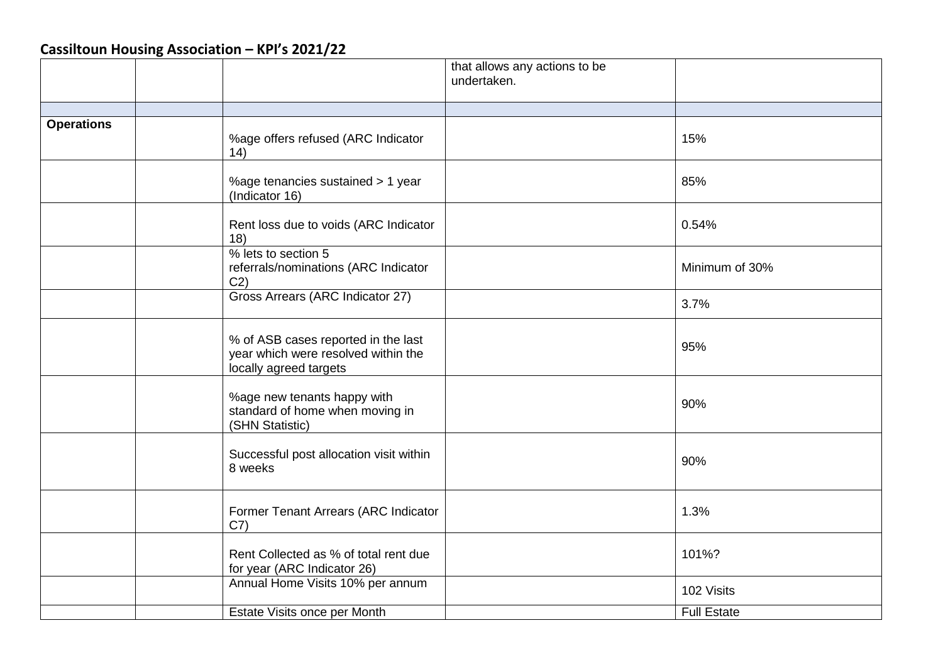|                   |                                                                                                      | that allows any actions to be<br>undertaken. |                    |
|-------------------|------------------------------------------------------------------------------------------------------|----------------------------------------------|--------------------|
|                   |                                                                                                      |                                              |                    |
| <b>Operations</b> | %age offers refused (ARC Indicator<br>(14)                                                           |                                              | 15%                |
|                   | %age tenancies sustained > 1 year<br>(Indicator 16)                                                  |                                              | 85%                |
|                   | Rent loss due to voids (ARC Indicator<br>18)                                                         |                                              | 0.54%              |
|                   | % lets to section 5<br>referrals/nominations (ARC Indicator<br>C2)                                   |                                              | Minimum of 30%     |
|                   | Gross Arrears (ARC Indicator 27)                                                                     |                                              | 3.7%               |
|                   | % of ASB cases reported in the last<br>year which were resolved within the<br>locally agreed targets |                                              | 95%                |
|                   | %age new tenants happy with<br>standard of home when moving in<br>(SHN Statistic)                    |                                              | 90%                |
|                   | Successful post allocation visit within<br>8 weeks                                                   |                                              | 90%                |
|                   | Former Tenant Arrears (ARC Indicator<br>C7)                                                          |                                              | 1.3%               |
|                   | Rent Collected as % of total rent due<br>for year (ARC Indicator 26)                                 |                                              | 101%?              |
|                   | Annual Home Visits 10% per annum                                                                     |                                              | 102 Visits         |
|                   | Estate Visits once per Month                                                                         |                                              | <b>Full Estate</b> |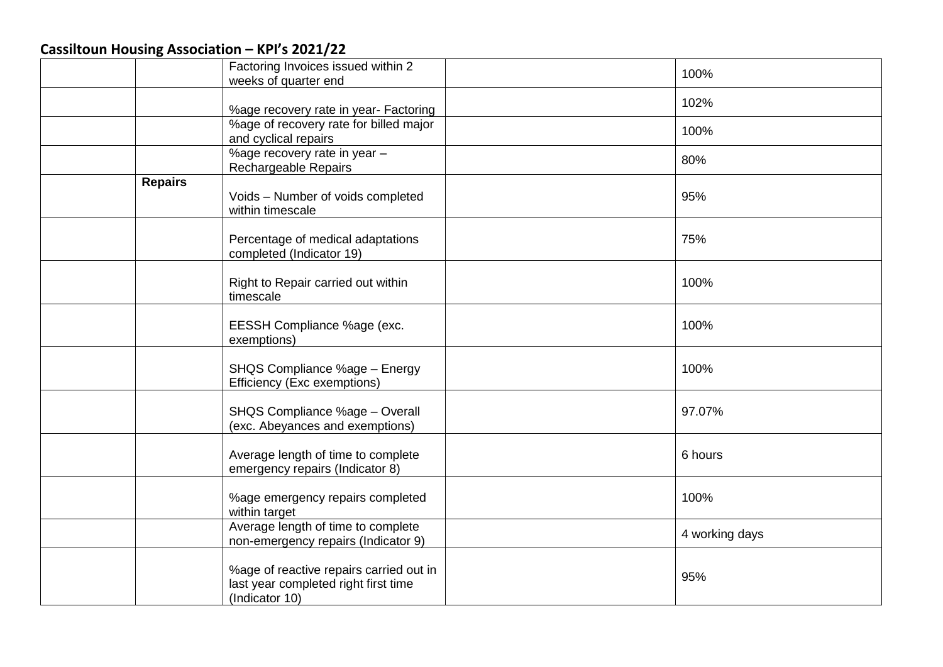|                | Factoring Invoices issued within 2<br>weeks of quarter end                                        | 100%           |
|----------------|---------------------------------------------------------------------------------------------------|----------------|
|                | %age recovery rate in year- Factoring                                                             | 102%           |
|                | %age of recovery rate for billed major<br>and cyclical repairs                                    | 100%           |
|                | %age recovery rate in year -<br>Rechargeable Repairs                                              | 80%            |
| <b>Repairs</b> | Voids - Number of voids completed<br>within timescale                                             | 95%            |
|                | Percentage of medical adaptations<br>completed (Indicator 19)                                     | 75%            |
|                | Right to Repair carried out within<br>timescale                                                   | 100%           |
|                | EESSH Compliance %age (exc.<br>exemptions)                                                        | 100%           |
|                | SHQS Compliance %age - Energy<br>Efficiency (Exc exemptions)                                      | 100%           |
|                | SHQS Compliance %age - Overall<br>(exc. Abeyances and exemptions)                                 | 97.07%         |
|                | Average length of time to complete<br>emergency repairs (Indicator 8)                             | 6 hours        |
|                | %age emergency repairs completed<br>within target                                                 | 100%           |
|                | Average length of time to complete<br>non-emergency repairs (Indicator 9)                         | 4 working days |
|                | %age of reactive repairs carried out in<br>last year completed right first time<br>(Indicator 10) | 95%            |